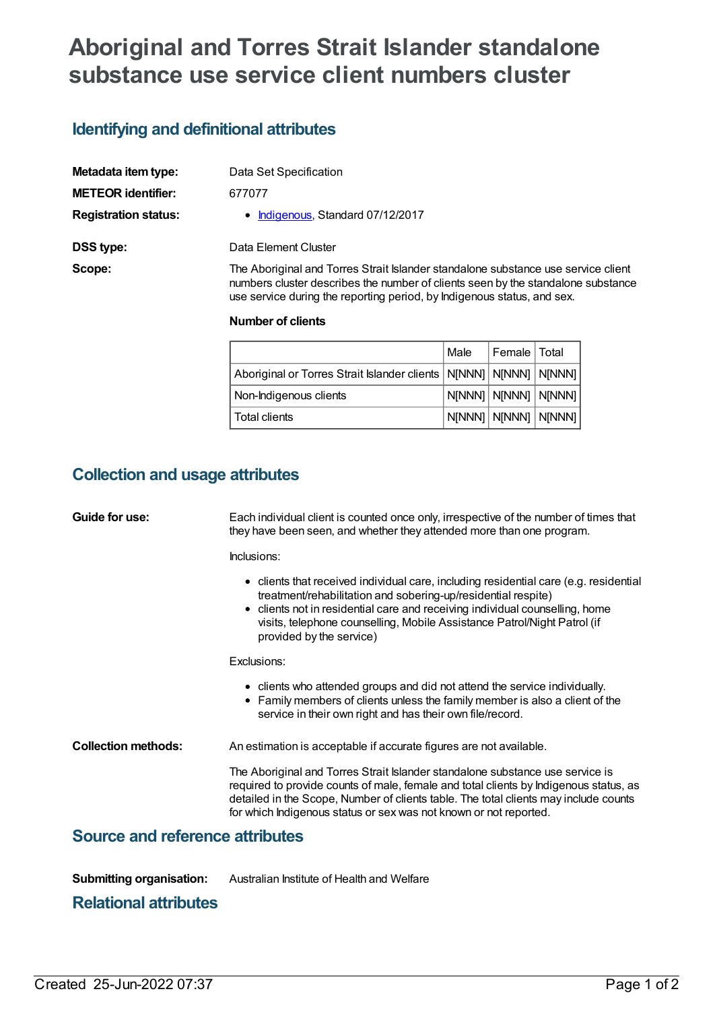# **Aboriginal and Torres Strait Islander standalone substance use service client numbers cluster**

# **Identifying and definitional attributes**

| Metadata item type:         | Data Set Specification                                                                                                                                                                                                                           |
|-----------------------------|--------------------------------------------------------------------------------------------------------------------------------------------------------------------------------------------------------------------------------------------------|
| <b>METEOR identifier:</b>   | 677077                                                                                                                                                                                                                                           |
| <b>Registration status:</b> | • Indigenous, Standard 07/12/2017                                                                                                                                                                                                                |
| <b>DSS type:</b>            | Data Element Cluster                                                                                                                                                                                                                             |
| Scope:                      | The Aboriginal and Torres Strait Islander standalone substance use service client<br>numbers cluster describes the number of clients seen by the standalone substance<br>use service during the reporting period, by Indigenous status, and sex. |

#### **Number of clients**

|                                                                         | l Male | Female   Total                       |  |
|-------------------------------------------------------------------------|--------|--------------------------------------|--|
| Aboriginal or Torres Strait Islander clients   N[NNN]   N[NNN]   N[NNN] |        |                                      |  |
| Non-Indigenous clients                                                  |        |                                      |  |
| l Total clients                                                         |        | $ $ N[NNN] $ $ N[NNN] $ $ N[NNN] $ $ |  |

### **Collection and usage attributes**

| Guide for use:                         | Each individual client is counted once only, irrespective of the number of times that<br>they have been seen, and whether they attended more than one program.                                                                                                                                                                                 |  |  |
|----------------------------------------|------------------------------------------------------------------------------------------------------------------------------------------------------------------------------------------------------------------------------------------------------------------------------------------------------------------------------------------------|--|--|
|                                        | Inclusions:                                                                                                                                                                                                                                                                                                                                    |  |  |
|                                        | • clients that received individual care, including residential care (e.g. residential<br>treatment/rehabilitation and sobering-up/residential respite)<br>• clients not in residential care and receiving individual counselling, home<br>visits, telephone counselling, Mobile Assistance Patrol/Night Patrol (if<br>provided by the service) |  |  |
|                                        | Exclusions:                                                                                                                                                                                                                                                                                                                                    |  |  |
|                                        | • clients who attended groups and did not attend the service individually.<br>• Family members of clients unless the family member is also a client of the<br>service in their own right and has their own file/record.                                                                                                                        |  |  |
| <b>Collection methods:</b>             | An estimation is acceptable if accurate figures are not available.                                                                                                                                                                                                                                                                             |  |  |
|                                        | The Aboriginal and Torres Strait Islander standalone substance use service is<br>required to provide counts of male, female and total clients by Indigenous status, as<br>detailed in the Scope, Number of clients table. The total clients may include counts<br>for which Indigenous status or sex was not known or not reported.            |  |  |
| <b>Source and reference attributes</b> |                                                                                                                                                                                                                                                                                                                                                |  |  |

**Submitting organisation:** Australian Institute of Health and Welfare

#### **Relational attributes**